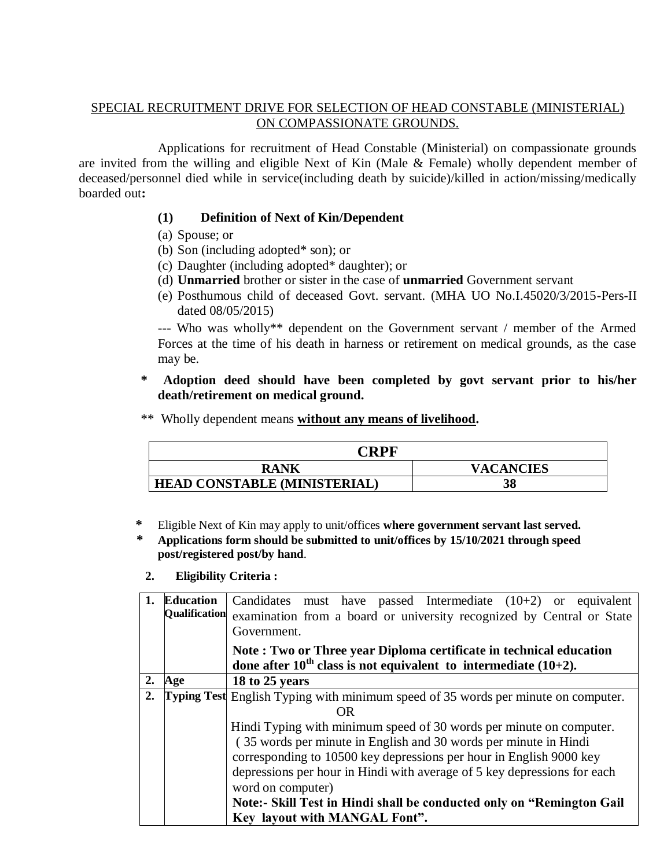### SPECIAL RECRUITMENT DRIVE FOR SELECTION OF HEAD CONSTABLE (MINISTERIAL) ON COMPASSIONATE GROUNDS.

Applications for recruitment of Head Constable (Ministerial) on compassionate grounds are invited from the willing and eligible Next of Kin (Male & Female) wholly dependent member of deceased/personnel died while in service(including death by suicide)/killed in action/missing/medically boarded out**:**

# **(1) Definition of Next of Kin/Dependent**

- (a) Spouse; or
- (b) Son (including adopted\* son); or
- (c) Daughter (including adopted\* daughter); or
- (d) **Unmarried** brother or sister in the case of **unmarried** Government servant
- (e) Posthumous child of deceased Govt. servant. (MHA UO No.I.45020/3/2015-Pers-II dated 08/05/2015)

--- Who was wholly\*\* dependent on the Government servant / member of the Armed Forces at the time of his death in harness or retirement on medical grounds, as the case may be.

### **\* Adoption deed should have been completed by govt servant prior to his/her death/retirement on medical ground.**

\*\* Wholly dependent means **without any means of livelihood.**

| CRPF                                |                  |
|-------------------------------------|------------------|
| <b>RANK</b>                         | <b>VACANCIES</b> |
| <b>HEAD CONSTABLE (MINISTERIAL)</b> | 38               |

- **\*** Eligible Next of Kin may apply to unit/offices **where government servant last served.**
- **\* Applications form should be submitted to unit/offices by 15/10/2021 through speed post/registered post/by hand**.
- **2. Eligibility Criteria :**

| 1. | <b>Education</b> | Candidates must have passed Intermediate $(10+2)$ or equivalent<br>Qualification examination from a board or university recognized by Central or State<br>Government. |  |  |  |  |
|----|------------------|-----------------------------------------------------------------------------------------------------------------------------------------------------------------------|--|--|--|--|
|    |                  | Note: Two or Three year Diploma certificate in technical education<br>done after $10^{th}$ class is not equivalent to intermediate (10+2).                            |  |  |  |  |
| 2. | Age              | 18 to 25 years                                                                                                                                                        |  |  |  |  |
| 2. |                  | Typing Test English Typing with minimum speed of 35 words per minute on computer.                                                                                     |  |  |  |  |
|    |                  | OR                                                                                                                                                                    |  |  |  |  |
|    |                  | Hindi Typing with minimum speed of 30 words per minute on computer.                                                                                                   |  |  |  |  |
|    |                  | (35 words per minute in English and 30 words per minute in Hindi                                                                                                      |  |  |  |  |
|    |                  | corresponding to 10500 key depressions per hour in English 9000 key                                                                                                   |  |  |  |  |
|    |                  | depressions per hour in Hindi with average of 5 key depressions for each                                                                                              |  |  |  |  |
|    |                  | word on computer)                                                                                                                                                     |  |  |  |  |
|    |                  | Note:- Skill Test in Hindi shall be conducted only on "Remington Gail"                                                                                                |  |  |  |  |
|    |                  | Key layout with MANGAL Font".                                                                                                                                         |  |  |  |  |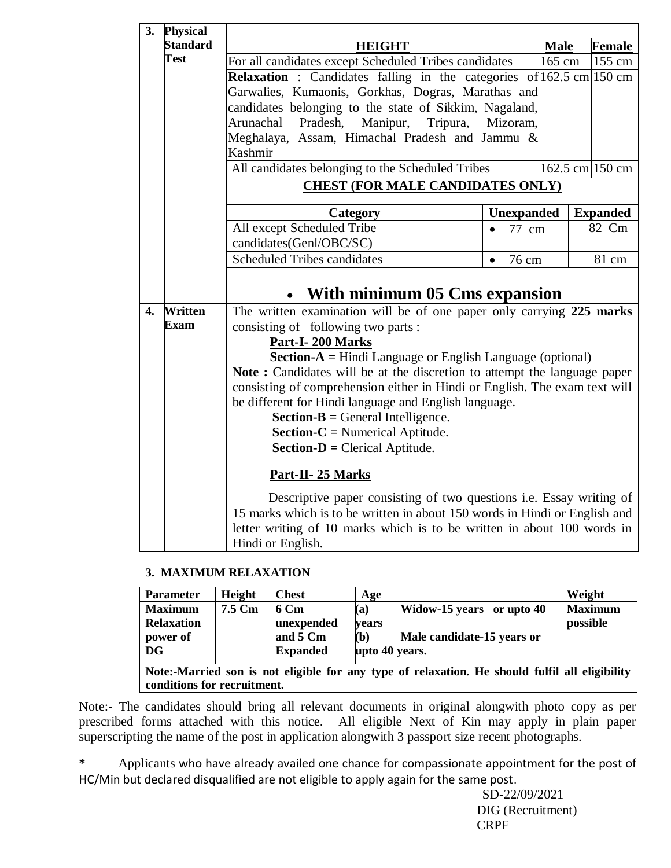| 3. | <b>Physical</b> |                                                                                 |                   |        |                 |  |
|----|-----------------|---------------------------------------------------------------------------------|-------------------|--------|-----------------|--|
|    | <b>Standard</b> | <b>HEIGHT</b>                                                                   | <b>Male</b>       | Female |                 |  |
|    | <b>Test</b>     | For all candidates except Scheduled Tribes candidates                           | 165 cm            | 155 cm |                 |  |
|    |                 | <b>Relaxation</b> : Candidates falling in the categories of $162.5$ cm $150$ cm |                   |        |                 |  |
|    |                 | Garwalies, Kumaonis, Gorkhas, Dogras, Marathas and                              |                   |        |                 |  |
|    |                 | candidates belonging to the state of Sikkim, Nagaland,                          |                   |        |                 |  |
|    |                 | Pradesh,<br>Manipur,<br>Arunachal<br>Tripura,                                   | Mizoram,          |        |                 |  |
|    |                 | Meghalaya, Assam, Himachal Pradesh and Jammu &                                  |                   |        |                 |  |
|    |                 | Kashmir                                                                         |                   |        |                 |  |
|    |                 | All candidates belonging to the Scheduled Tribes                                |                   |        | 162.5 cm 150 cm |  |
|    |                 | <b>CHEST (FOR MALE CANDIDATES ONLY)</b>                                         |                   |        |                 |  |
|    |                 | Category                                                                        | <b>Unexpanded</b> |        | <b>Expanded</b> |  |
|    |                 | All except Scheduled Tribe                                                      | 77 cm             |        | 82 Cm           |  |
|    |                 | candidates(Genl/OBC/SC)                                                         |                   |        |                 |  |
|    |                 | <b>Scheduled Tribes candidates</b><br>81 cm<br>76 cm<br>$\bullet$               |                   |        |                 |  |
|    |                 |                                                                                 |                   |        |                 |  |
|    |                 | • With minimum 05 Cms expansion                                                 |                   |        |                 |  |
| 4. | <b>Written</b>  | The written examination will be of one paper only carrying 225 marks            |                   |        |                 |  |
|    | <b>Exam</b>     | consisting of following two parts:                                              |                   |        |                 |  |
|    |                 | Part-I-200 Marks                                                                |                   |        |                 |  |
|    |                 | <b>Section-A</b> = Hindi Language or English Language (optional)                |                   |        |                 |  |
|    |                 | <b>Note:</b> Candidates will be at the discretion to attempt the language paper |                   |        |                 |  |
|    |                 | consisting of comprehension either in Hindi or English. The exam text will      |                   |        |                 |  |
|    |                 | be different for Hindi language and English language.                           |                   |        |                 |  |
|    |                 | <b>Section-B</b> = General Intelligence.                                        |                   |        |                 |  |
|    |                 | <b>Section-C</b> = Numerical Aptitude.                                          |                   |        |                 |  |
|    |                 | <b>Section-D</b> = Clerical Aptitude.                                           |                   |        |                 |  |
|    |                 | Part-II-25 Marks                                                                |                   |        |                 |  |
|    |                 | Descriptive paper consisting of two questions i.e. Essay writing of             |                   |        |                 |  |
|    |                 | 15 marks which is to be written in about 150 words in Hindi or English and      |                   |        |                 |  |
|    |                 | letter writing of 10 marks which is to be written in about 100 words in         |                   |        |                 |  |
|    |                 | Hindi or English.                                                               |                   |        |                 |  |

#### **3. MAXIMUM RELAXATION**

| <b>Parameter</b>                                                                                                              | Height | <b>Chest</b>                                      | Age                                                                                              | Weight                     |
|-------------------------------------------------------------------------------------------------------------------------------|--------|---------------------------------------------------|--------------------------------------------------------------------------------------------------|----------------------------|
| <b>Maximum</b><br><b>Relaxation</b><br>power of<br>DG                                                                         | 7.5 Cm | 6 Cm<br>unexpended<br>and 5 Cm<br><b>Expanded</b> | Widow-15 years or upto 40<br>(a)<br>vears<br>(b)<br>Male candidate-15 years or<br>upto 40 years. | <b>Maximum</b><br>possible |
| Note:-Married son is not eligible for any type of relaxation. He should fulfil all eligibility<br>conditions for recruitment. |        |                                                   |                                                                                                  |                            |

Note:- The candidates should bring all relevant documents in original alongwith photo copy as per prescribed forms attached with this notice. All eligible Next of Kin may apply in plain paper superscripting the name of the post in application alongwith 3 passport size recent photographs.

**\*** Applicants who have already availed one chance for compassionate appointment for the post of HC/Min but declared disqualified are not eligible to apply again for the same post.

> SD-22/09/2021 DIG (Recruitment) CRPF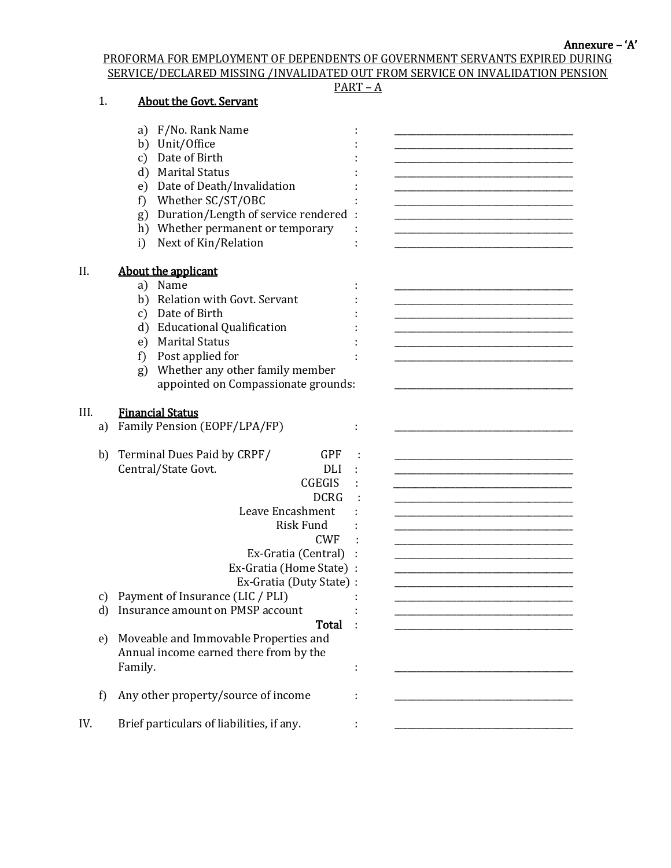Annexure – 'A'

PROFORMA FOR EMPLOYMENT OF DEPENDENTS OF GOVERNMENT SERVANTS EXPIRED DURING SERVICE/DECLARED MISSING /INVALIDATED OUT FROM SERVICE ON INVALIDATION PENSION

|      |    |                                             | $PART - A$ |
|------|----|---------------------------------------------|------------|
|      | 1. | <b>About the Govt. Servant</b>              |            |
|      |    |                                             |            |
|      |    | F/No. Rank Name<br>a)                       |            |
|      |    | b) Unit/Office                              |            |
|      |    | Date of Birth<br>$\mathbf{c})$              |            |
|      |    | d) Marital Status                           |            |
|      |    | e) Date of Death/Invalidation               |            |
|      |    | Whether SC/ST/OBC<br>f)                     |            |
|      |    | Duration/Length of service rendered :<br>g) |            |
|      |    | h) Whether permanent or temporary           |            |
|      |    | Next of Kin/Relation<br>i)                  |            |
| II.  |    | About the applicant                         |            |
|      |    | a) Name                                     |            |
|      |    | b) Relation with Govt. Servant              |            |
|      |    | Date of Birth<br>c)                         |            |
|      |    | d) Educational Qualification                |            |
|      |    | <b>Marital Status</b><br>e)                 |            |
|      |    | Post applied for<br>f)                      |            |
|      |    | Whether any other family member<br>g)       |            |
|      |    | appointed on Compassionate grounds:         |            |
|      |    |                                             |            |
| III. |    | <b>Financial Status</b>                     |            |
|      | a) | Family Pension (EOPF/LPA/FP)                |            |
|      |    |                                             |            |
|      | b) | <b>GPF</b><br>Terminal Dues Paid by CRPF/   |            |
|      |    | Central/State Govt.<br><b>DLI</b>           |            |
|      |    | <b>CGEGIS</b>                               |            |
|      |    | <b>DCRG</b>                                 |            |
|      |    | Leave Encashment                            |            |
|      |    | <b>Risk Fund</b>                            |            |
|      |    | <b>CWF</b>                                  |            |
|      |    | Ex-Gratia (Central)                         |            |
|      |    | Ex-Gratia (Home State)                      |            |
|      |    | Ex-Gratia (Duty State) :                    |            |
|      | c) | Payment of Insurance (LIC / PLI)            |            |
|      | d) | Insurance amount on PMSP account            |            |
|      |    | Total                                       |            |
|      | e) | Moveable and Immovable Properties and       |            |
|      |    | Annual income earned there from by the      |            |
|      |    | Family.                                     |            |
|      |    |                                             |            |
|      |    |                                             |            |
|      | f) | Any other property/source of income         |            |
|      |    |                                             |            |
| IV.  |    | Brief particulars of liabilities, if any.   |            |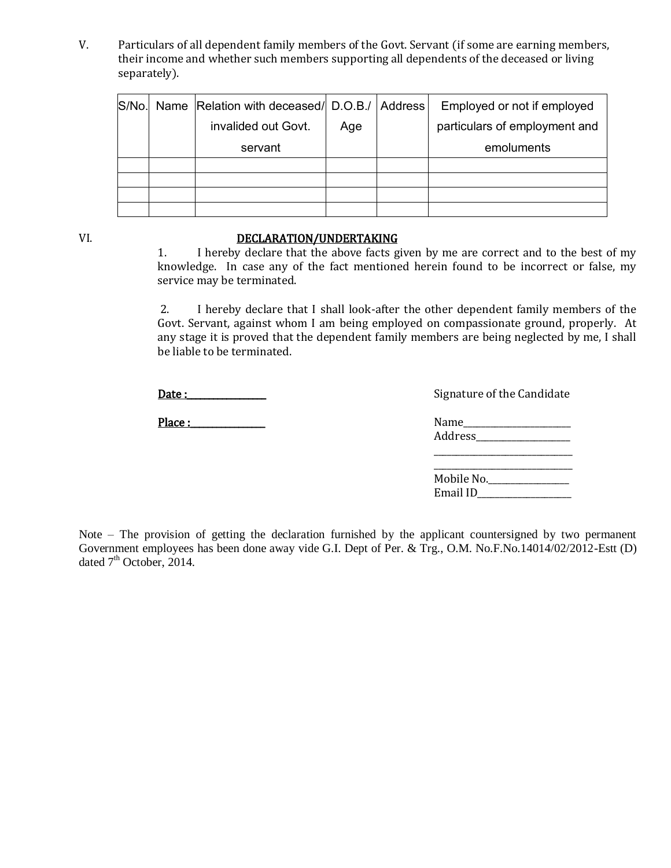V. Particulars of all dependent family members of the Govt. Servant (if some are earning members, their income and whether such members supporting all dependents of the deceased or living separately).

|  | S/No. Name Relation with deceased/ D.O.B./ Address |     | Employed or not if employed   |
|--|----------------------------------------------------|-----|-------------------------------|
|  | invalided out Govt.                                | Age | particulars of employment and |
|  | servant                                            |     | emoluments                    |
|  |                                                    |     |                               |
|  |                                                    |     |                               |
|  |                                                    |     |                               |
|  |                                                    |     |                               |

#### VI. DECLARATION/UNDERTAKING

1. I hereby declare that the above facts given by me are correct and to the best of my knowledge. In case any of the fact mentioned herein found to be incorrect or false, my service may be terminated.

2. I hereby declare that I shall look-after the other dependent family members of the Govt. Servant, against whom I am being employed on compassionate ground, properly. At any stage it is proved that the dependent family members are being neglected by me, I shall be liable to be terminated.

Date :\_\_\_\_\_\_\_\_\_\_\_\_\_\_\_\_\_\_ Signature of the Candidate

Place :\_\_\_\_\_\_\_\_\_\_\_\_\_\_\_\_\_ Name\_\_\_\_\_\_\_\_\_\_\_\_\_\_\_\_\_\_\_\_\_\_\_\_

|  | orghacare or the candidate |
|--|----------------------------|
|  |                            |
|  |                            |

Address\_\_\_\_\_\_\_\_\_\_\_\_\_\_\_\_\_\_\_\_\_

| Mobile No. |  |
|------------|--|
| Email ID   |  |

Note – The provision of getting the declaration furnished by the applicant countersigned by two permanent Government employees has been done away vide G.I. Dept of Per. & Trg., O.M. No.F.No.14014/02/2012-Estt (D) dated  $7<sup>th</sup>$  October, 2014.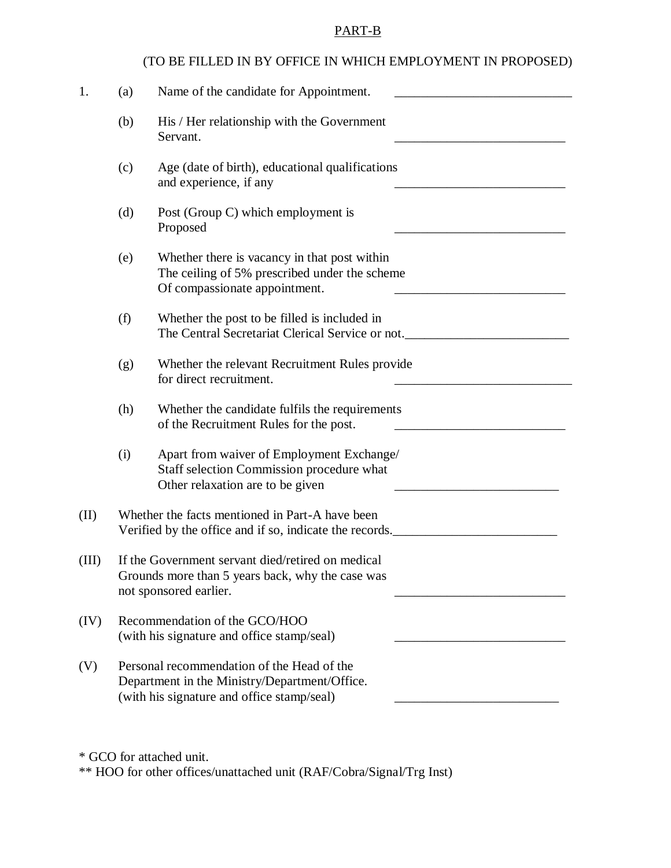# PART-B

|       |                                                                                                                                           | (TO BE FILLED IN BY OFFICE IN WHICH EMPLOYMENT IN PROPOSED)                                                                    |  |
|-------|-------------------------------------------------------------------------------------------------------------------------------------------|--------------------------------------------------------------------------------------------------------------------------------|--|
| 1.    | (a)                                                                                                                                       | Name of the candidate for Appointment.                                                                                         |  |
|       | (b)                                                                                                                                       | His / Her relationship with the Government<br>Servant.                                                                         |  |
|       | (c)                                                                                                                                       | Age (date of birth), educational qualifications<br>and experience, if any                                                      |  |
|       | (d)                                                                                                                                       | Post (Group C) which employment is<br>Proposed                                                                                 |  |
|       | (e)                                                                                                                                       | Whether there is vacancy in that post within<br>The ceiling of 5% prescribed under the scheme<br>Of compassionate appointment. |  |
|       | (f)                                                                                                                                       | Whether the post to be filled is included in<br>The Central Secretariat Clerical Service or not.                               |  |
|       | (g)                                                                                                                                       | Whether the relevant Recruitment Rules provide<br>for direct recruitment.                                                      |  |
|       | (h)                                                                                                                                       | Whether the candidate fulfils the requirements<br>of the Recruitment Rules for the post.                                       |  |
|       | (i)                                                                                                                                       | Apart from waiver of Employment Exchange/<br>Staff selection Commission procedure what<br>Other relaxation are to be given     |  |
| (II)  |                                                                                                                                           | Whether the facts mentioned in Part-A have been<br>Verified by the office and if so, indicate the records.                     |  |
| (III) | If the Government servant died/retired on medical<br>Grounds more than 5 years back, why the case was<br>not sponsored earlier.           |                                                                                                                                |  |
| (IV)  | Recommendation of the GCO/HOO<br>(with his signature and office stamp/seal)                                                               |                                                                                                                                |  |
| (V)   | Personal recommendation of the Head of the<br>Department in the Ministry/Department/Office.<br>(with his signature and office stamp/seal) |                                                                                                                                |  |

\*\* HOO for other offices/unattached unit (RAF/Cobra/Signal/Trg Inst)